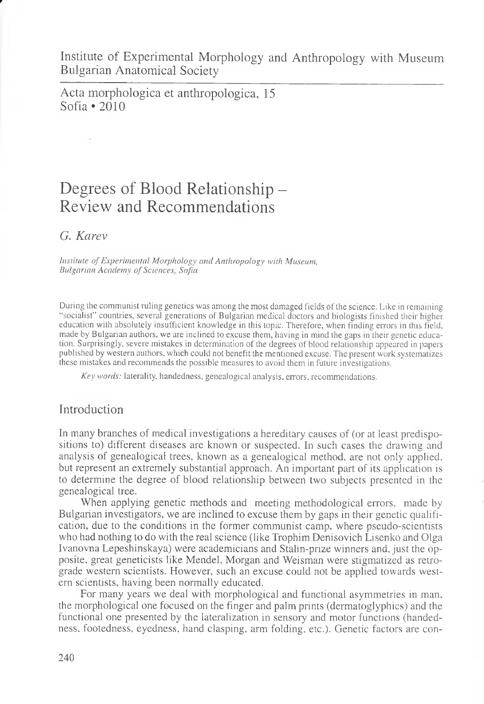Institute of Experimental Morphology and Anthropology with Museum Bulgarian Anatomical Society

Acta morphologica et anthropologica, 15 Sofia \*2010

# Degrees of Blood Relationship – Review and Recommendations

*G. Karev*

*f*

*Institute of Experimental Morphology and Anthropology with Museum, Bulgarian Academy of Sciences, Sofia*

During the communist ruling genetics was among the most damaged fields of the science. Like in remaining "socialist" countries, several generations of Bulgarian medical doctors and biologists finished their higher education with absolutely insufficient knowledge in this topic. Therefore, when finding errors in this field, made by Bulgarian authors, we are inclined to excuse them, having in mind the gaps in their genetic education. Surprisingly, severe mistakes in determination of the degrees of blood relationship appeared in papers published by western authors, which could not benefit the mentioned excuse. The present work systematizes these mistakes and recommends the possible measures to avoid them in future investigations.

*Key words:* laterality, handedness, genealogical analysis, errors, recommendations.

# Introduction

In many branches of medical investigations a hereditary causes of (or at least predispositions to) different diseases are known or suspected. In such cases the drawing and analysis of genealogical trees, known as a genealogical method, are not only applied, but represent an extremely substantial approach. An important part of its application is to determine the degree of blood relationship between two subjects presented in the genealogical tree.

When applying genetic methods and meeting methodological errors, made by Bulgarian investigators, we are inclined to excuse them by gaps in their genetic qualification, due to the conditions in the former communist camp, where pseudo-scientists who had nothing to do with the real science (like Trophim Denisovich Lisenko and Olga Ivanovna Lepeshinskaya) were academicians and Stalin-prize winners and, just the opposite, great geneticists like Mendel, Morgan and Weisman were stigmatized as retrograde western scientists. However, such an excuse could not be applied towards western scientists, having been normally educated.

For many years we deal with morphological and functional asymmetries in man, the morphological one focused on the finger and palm prints (dermatoglyphics) and the functional one presented by the lateralization in sensory and motor functions (handedness, footedness, eyedness, hand clasping, arm folding, etc.). Genetic factors are con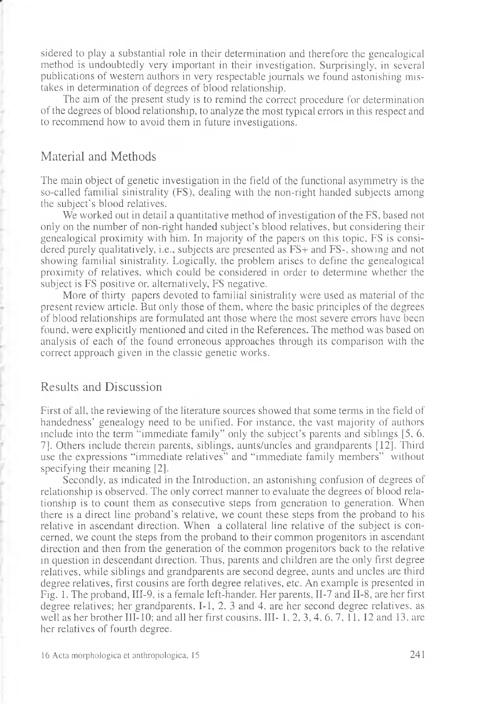sidered to play a substantial role in their determination and therefore the genealogical method is undoubtedly very important in their investigation. Surprisingly, in several publications of western authors in very respectable journals we found astonishing mistakes in determination of degrees of blood relationship.

The aim of the present study is to remind the correct procedure for determination of the degrees of blood relationship, to analyze the most typical errors in this respect and to recommend how to avoid them in future investigations.

### Material and Methods

The main object of genetic investigation in the field of the functional asymmetry is the so-called familial sinistrality (FS), dealing with the non-right handed subjects among the subject's blood relatives.

We worked out in detail a quantitative method of investigation of the FS, based not only on the number of non-right handed subject's blood relatives, but considering their genealogical proximity with him. In majority of the papers on this topic, FS is considered purely qualitatively, i.e., subjects are presented as FS+ and FS-, showing and not showing familial sinistrality. Logically, the problem arises to define the genealogical proximity of relatives, which could be considered in order to determine whether the subject is FS positive or, alternatively, FS negative.

More of thirty papers devoted to familial sinistrality were used as material of the present review article. But only those of them, where the basic principles of the degrees of blood relationships are formulated ant those where the most severe errors have been found, were explicitly mentioned and cited in the References. The method was based on analysis of each of the found erroneous approaches through its comparison with the correct approach given in the classic genetic works.

## Results and Discussion

First of all, the reviewing of the literature sources showed that some terms in the field of handedness' genealogy need to be unified. For instance, the vast majority of authors include into the term "immediate family" only the subject's parents and siblings [5, 6, 7]. Others include therein parents, siblings, aunts/uncles and grandparents [12]. Third use the expressions "immediate relatives" and "immediate family members" without specifying their meaning [2].

Secondly, as indicated in the Introduction, an astonishing confusion of degrees of relationship is observed. The only correct manner to evaluate the degrees of blood relationship is to count them as consecutive steps from generation to generation. When there is a direct line proband's relative, we count these steps from the proband to his relative in ascendant direction. When a collateral line relative of the subject is concerned, we count the steps from the proband to their common progenitors in ascendant direction and then from the generation of the common progenitors back to the relative in question in descendant direction. Thus, parents and children are the only first degree relatives, while siblings and grandparents are second degree, aunts and uncles are third degree relatives, first cousins are forth degree relatives, etc. An example is presented in Fig. 1. The proband, III-9, is a female left-hander. Her parents, II-7 and II-8, are her first degree relatives; her grandparents, I-1, 2, 3 and 4, are her second degree relatives, as well as her brother III-10; and all her first cousins, III- 1, 2, 3, 4, 6, 7, 11. 12 and 13, are her relatives of fourth degree.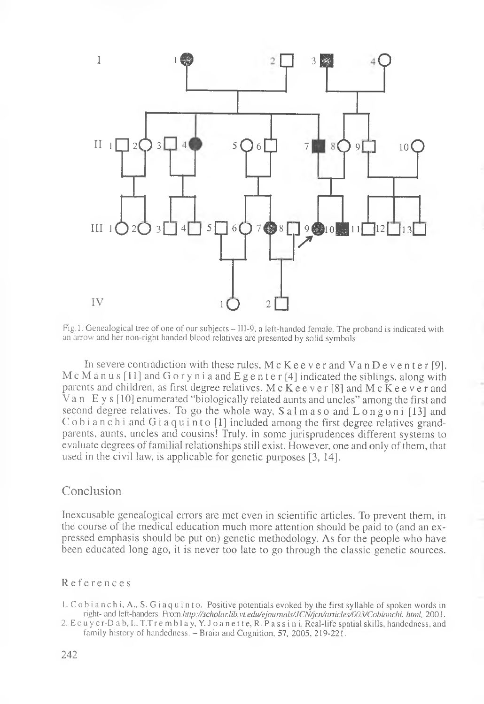

Fig.l. Genealogical tree of one of our subjects - III-9, a left-handed female. The proband is indicated with an arrow and her non-right handed blood relatives are presented by solid symbols

In severe contradiction with these rules,  $M c K e e v e r$  and  $V a n D e v e n t e r [9]$ , McManus [11] and G o r y n i a and E g e n t e r [4] indicated the siblings, along with parents and children, as first degree relatives. M c  $\overline{K}$  e e v e r [8] and M c  $\overline{K}$  e e v e r and Van Е y s [10] enumerated "biologically related aunts and uncles" among the first and second degree relatives. To go the whole way,  $S$  a l m a s o and  $L$  o n g o n i [13] and C o b i a n c h i and G i a q u i n t o [1] included among the first degree relatives grandparents, aunts, uncles and cousins! Truly, in some jurisprudences different systems to evaluate degrees of familial relationships still exist. However, one and only of them, that used in the civil law, is applicable for genetic purposes [3, 14].

#### Conclusion

Inexcusable genealogical errors are met even in scientific articles. To prevent them, in the course of the medical education much more attention should be paid to (and an expressed emphasis should be put on) genetic methodology. As for the people who have been educated long ago, it is never too late to go through the classic genetic sources.

#### References

1. C ob i anch i, A., S. G i aqu in to. Positive potentials evoked by the first syllable of spoken words in right- and left-handers. From.*http://scholar.lib.vt.edu/ejournals/JCN/jcn/articles/003/Cobianchi. html,* 2001.

2. Ec uy er-D a b, I., T. Tremblay, Y. J o a n e t t e , R. P a s s i n i . Real-life spatial skills, handedness, and family history of handedness.  $-$  Brain and Cognition, 57, 2005, 219-221.